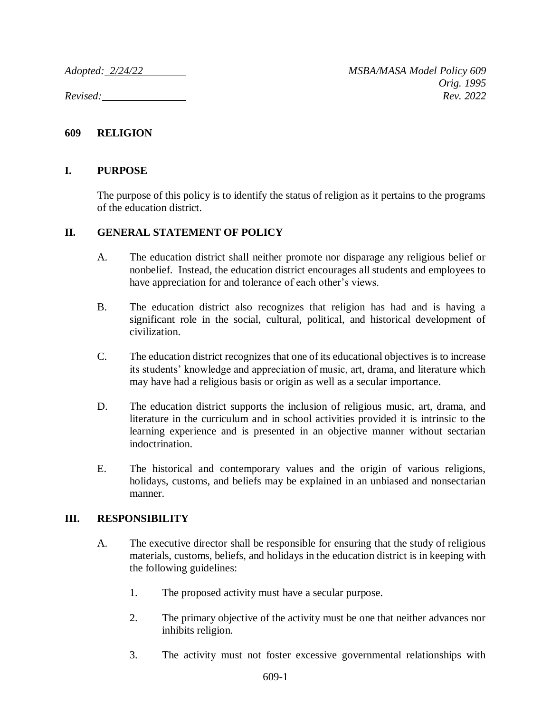## **609 RELIGION**

## **I. PURPOSE**

The purpose of this policy is to identify the status of religion as it pertains to the programs of the education district.

## **II. GENERAL STATEMENT OF POLICY**

- A. The education district shall neither promote nor disparage any religious belief or nonbelief. Instead, the education district encourages all students and employees to have appreciation for and tolerance of each other's views.
- B. The education district also recognizes that religion has had and is having a significant role in the social, cultural, political, and historical development of civilization.
- C. The education district recognizes that one of its educational objectives is to increase its students' knowledge and appreciation of music, art, drama, and literature which may have had a religious basis or origin as well as a secular importance.
- D. The education district supports the inclusion of religious music, art, drama, and literature in the curriculum and in school activities provided it is intrinsic to the learning experience and is presented in an objective manner without sectarian indoctrination.
- E. The historical and contemporary values and the origin of various religions, holidays, customs, and beliefs may be explained in an unbiased and nonsectarian manner.

## **III. RESPONSIBILITY**

- A. The executive director shall be responsible for ensuring that the study of religious materials, customs, beliefs, and holidays in the education district is in keeping with the following guidelines:
	- 1. The proposed activity must have a secular purpose.
	- 2. The primary objective of the activity must be one that neither advances nor inhibits religion.
	- 3. The activity must not foster excessive governmental relationships with